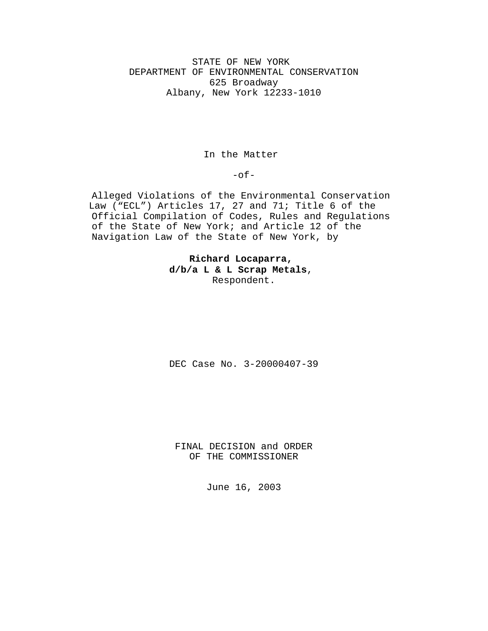STATE OF NEW YORK DEPARTMENT OF ENVIRONMENTAL CONSERVATION 625 Broadway Albany, New York 12233-1010

In the Matter

 $-$ of $-$ 

Alleged Violations of the Environmental Conservation Law ("ECL") Articles 17, 27 and 71; Title 6 of the Official Compilation of Codes, Rules and Regulations of the State of New York; and Article 12 of the Navigation Law of the State of New York, by

> **Richard Locaparra, d/b/a L & L Scrap Metals**, Respondent.

DEC Case No. 3-20000407-39

FINAL DECISION and ORDER OF THE COMMISSIONER

June 16, 2003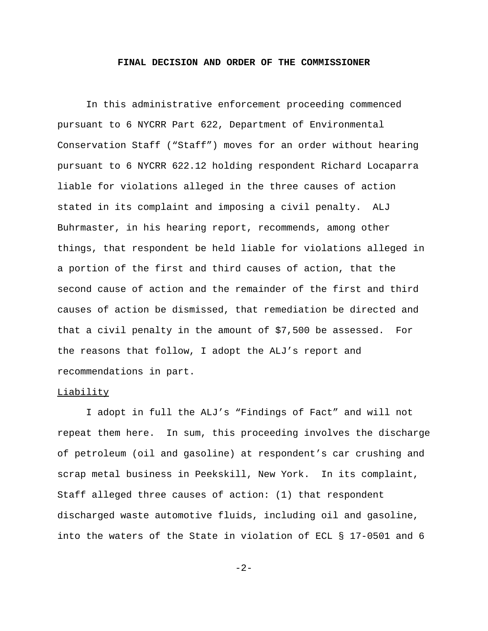#### **FINAL DECISION AND ORDER OF THE COMMISSIONER**

In this administrative enforcement proceeding commenced pursuant to 6 NYCRR Part 622, Department of Environmental Conservation Staff ("Staff") moves for an order without hearing pursuant to 6 NYCRR 622.12 holding respondent Richard Locaparra liable for violations alleged in the three causes of action stated in its complaint and imposing a civil penalty. ALJ Buhrmaster, in his hearing report, recommends, among other things, that respondent be held liable for violations alleged in a portion of the first and third causes of action, that the second cause of action and the remainder of the first and third causes of action be dismissed, that remediation be directed and that a civil penalty in the amount of \$7,500 be assessed. For the reasons that follow, I adopt the ALJ's report and recommendations in part.

### Liability

I adopt in full the ALJ's "Findings of Fact" and will not repeat them here. In sum, this proceeding involves the discharge of petroleum (oil and gasoline) at respondent's car crushing and scrap metal business in Peekskill, New York. In its complaint, Staff alleged three causes of action: (1) that respondent discharged waste automotive fluids, including oil and gasoline, into the waters of the State in violation of ECL § 17-0501 and 6

-2-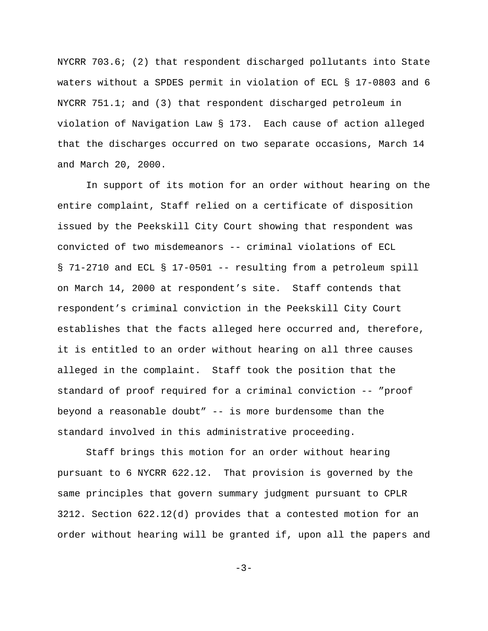NYCRR 703.6; (2) that respondent discharged pollutants into State waters without a SPDES permit in violation of ECL § 17-0803 and 6 NYCRR 751.1; and (3) that respondent discharged petroleum in violation of Navigation Law § 173. Each cause of action alleged that the discharges occurred on two separate occasions, March 14 and March 20, 2000.

In support of its motion for an order without hearing on the entire complaint, Staff relied on a certificate of disposition issued by the Peekskill City Court showing that respondent was convicted of two misdemeanors -- criminal violations of ECL § 71-2710 and ECL § 17-0501 -- resulting from a petroleum spill on March 14, 2000 at respondent's site. Staff contends that respondent's criminal conviction in the Peekskill City Court establishes that the facts alleged here occurred and, therefore, it is entitled to an order without hearing on all three causes alleged in the complaint. Staff took the position that the standard of proof required for a criminal conviction -- "proof beyond a reasonable doubt" -- is more burdensome than the standard involved in this administrative proceeding.

Staff brings this motion for an order without hearing pursuant to 6 NYCRR 622.12. That provision is governed by the same principles that govern summary judgment pursuant to CPLR 3212. Section 622.12(d) provides that a contested motion for an order without hearing will be granted if, upon all the papers and

 $-3-$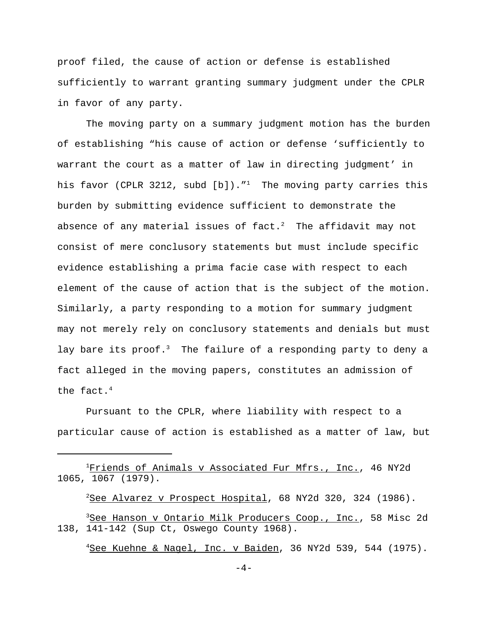proof filed, the cause of action or defense is established sufficiently to warrant granting summary judgment under the CPLR in favor of any party.

The moving party on a summary judgment motion has the burden of establishing "his cause of action or defense 'sufficiently to warrant the court as a matter of law in directing judgment' in his favor (CPLR 3212, subd  $[b]$ )." $^1$  The moving party carries this burden by submitting evidence sufficient to demonstrate the absence of any material issues of fact.<sup>2</sup> The affidavit may not consist of mere conclusory statements but must include specific evidence establishing a prima facie case with respect to each element of the cause of action that is the subject of the motion. Similarly, a party responding to a motion for summary judgment may not merely rely on conclusory statements and denials but must lay bare its proof.<sup>3</sup> The failure of a responding party to deny a fact alleged in the moving papers, constitutes an admission of the fact.<sup>4</sup>

Pursuant to the CPLR, where liability with respect to a particular cause of action is established as a matter of law, but

<sup>2</sup>See Alvarez v Prospect Hospital, 68 NY2d 320, 324 (1986).

<sup>4</sup>See Kuehne & Nagel, Inc. v Baiden, 36 NY2d 539, 544 (1975).

<sup>&</sup>lt;sup>1</sup>Friends of Animals v Associated Fur Mfrs., Inc., 46 NY2d 1065, 1067 (1979).

<sup>&</sup>lt;sup>3</sup>See Hanson v Ontario Milk Producers Coop., Inc., 58 Misc 2d 138, 141-142 (Sup Ct, Oswego County 1968).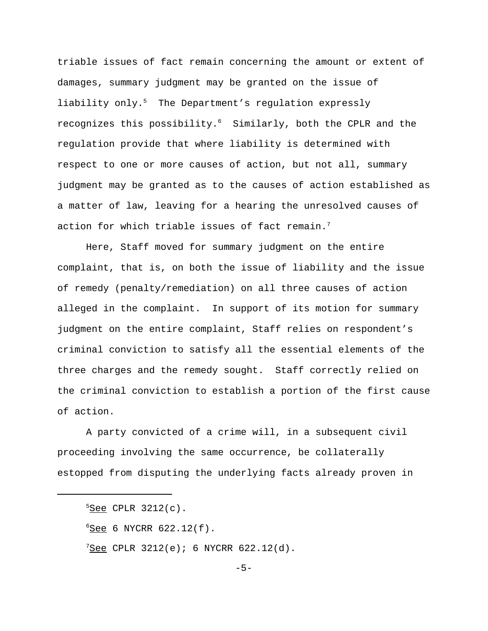triable issues of fact remain concerning the amount or extent of damages, summary judgment may be granted on the issue of liability only.<sup>5</sup> The Department's regulation expressly recognizes this possibility.6 Similarly, both the CPLR and the regulation provide that where liability is determined with respect to one or more causes of action, but not all, summary judgment may be granted as to the causes of action established as a matter of law, leaving for a hearing the unresolved causes of action for which triable issues of fact remain.<sup>7</sup>

Here, Staff moved for summary judgment on the entire complaint, that is, on both the issue of liability and the issue of remedy (penalty/remediation) on all three causes of action alleged in the complaint. In support of its motion for summary judgment on the entire complaint, Staff relies on respondent's criminal conviction to satisfy all the essential elements of the three charges and the remedy sought. Staff correctly relied on the criminal conviction to establish a portion of the first cause of action.

A party convicted of a crime will, in a subsequent civil proceeding involving the same occurrence, be collaterally estopped from disputing the underlying facts already proven in

 $5$ See CPLR 3212(c).  $6$  See 6 NYCRR 622.12(f).

 $7$ See CPLR 3212(e); 6 NYCRR 622.12(d).

 $-5-$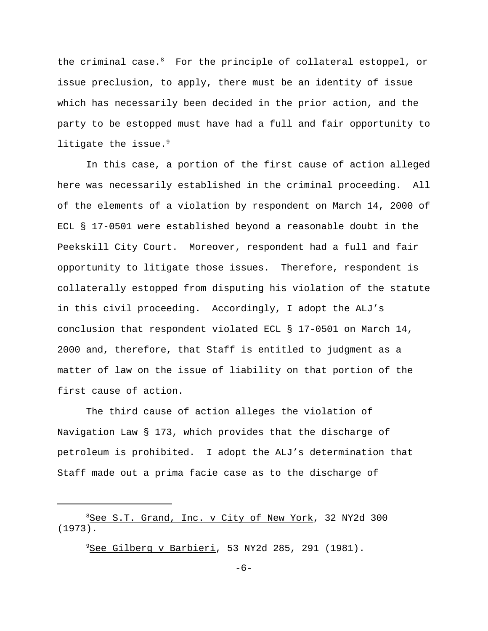the criminal case. $8$  For the principle of collateral estoppel, or issue preclusion, to apply, there must be an identity of issue which has necessarily been decided in the prior action, and the party to be estopped must have had a full and fair opportunity to litigate the issue. $9$ 

In this case, a portion of the first cause of action alleged here was necessarily established in the criminal proceeding. All of the elements of a violation by respondent on March 14, 2000 of ECL § 17-0501 were established beyond a reasonable doubt in the Peekskill City Court. Moreover, respondent had a full and fair opportunity to litigate those issues. Therefore, respondent is collaterally estopped from disputing his violation of the statute in this civil proceeding. Accordingly, I adopt the ALJ's conclusion that respondent violated ECL § 17-0501 on March 14, 2000 and, therefore, that Staff is entitled to judgment as a matter of law on the issue of liability on that portion of the first cause of action.

The third cause of action alleges the violation of Navigation Law § 173, which provides that the discharge of petroleum is prohibited. I adopt the ALJ's determination that Staff made out a prima facie case as to the discharge of

<sup>9</sup>See Gilberg v Barbieri, 53 NY2d 285, 291 (1981).

<sup>8</sup>See S.T. Grand, Inc. v City of New York, 32 NY2d 300 (1973).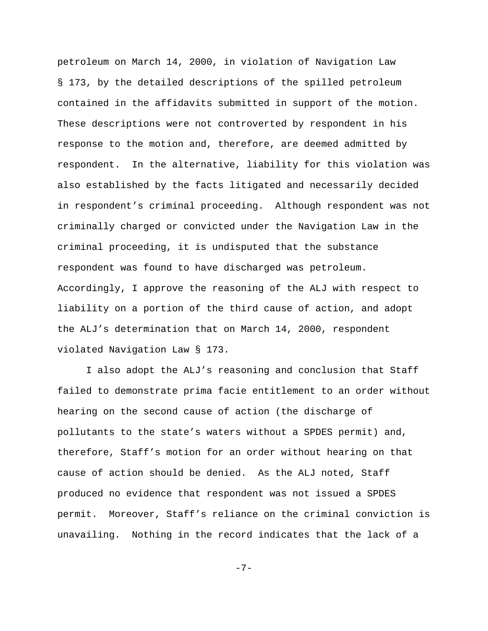petroleum on March 14, 2000, in violation of Navigation Law § 173, by the detailed descriptions of the spilled petroleum contained in the affidavits submitted in support of the motion. These descriptions were not controverted by respondent in his response to the motion and, therefore, are deemed admitted by respondent. In the alternative, liability for this violation was also established by the facts litigated and necessarily decided in respondent's criminal proceeding. Although respondent was not criminally charged or convicted under the Navigation Law in the criminal proceeding, it is undisputed that the substance respondent was found to have discharged was petroleum. Accordingly, I approve the reasoning of the ALJ with respect to liability on a portion of the third cause of action, and adopt the ALJ's determination that on March 14, 2000, respondent violated Navigation Law § 173.

I also adopt the ALJ's reasoning and conclusion that Staff failed to demonstrate prima facie entitlement to an order without hearing on the second cause of action (the discharge of pollutants to the state's waters without a SPDES permit) and, therefore, Staff's motion for an order without hearing on that cause of action should be denied. As the ALJ noted, Staff produced no evidence that respondent was not issued a SPDES permit. Moreover, Staff's reliance on the criminal conviction is unavailing. Nothing in the record indicates that the lack of a

-7-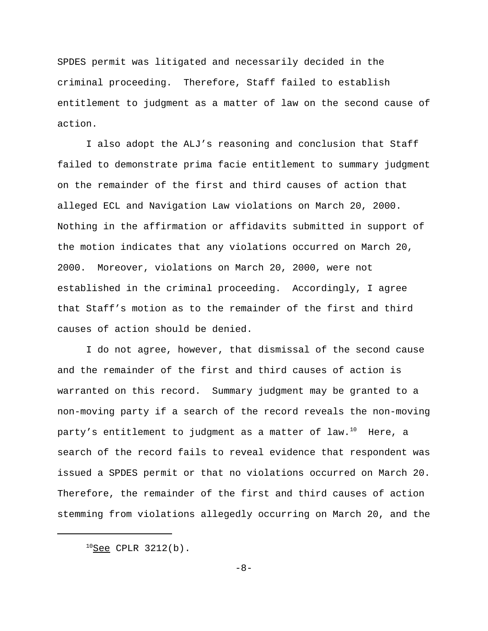SPDES permit was litigated and necessarily decided in the criminal proceeding. Therefore, Staff failed to establish entitlement to judgment as a matter of law on the second cause of action.

I also adopt the ALJ's reasoning and conclusion that Staff failed to demonstrate prima facie entitlement to summary judgment on the remainder of the first and third causes of action that alleged ECL and Navigation Law violations on March 20, 2000. Nothing in the affirmation or affidavits submitted in support of the motion indicates that any violations occurred on March 20, 2000. Moreover, violations on March 20, 2000, were not established in the criminal proceeding. Accordingly, I agree that Staff's motion as to the remainder of the first and third causes of action should be denied.

I do not agree, however, that dismissal of the second cause and the remainder of the first and third causes of action is warranted on this record. Summary judgment may be granted to a non-moving party if a search of the record reveals the non-moving party's entitlement to judgment as a matter of law.<sup>10</sup> Here, a search of the record fails to reveal evidence that respondent was issued a SPDES permit or that no violations occurred on March 20. Therefore, the remainder of the first and third causes of action stemming from violations allegedly occurring on March 20, and the

-8-

 $^{10}$ See CPLR 3212(b).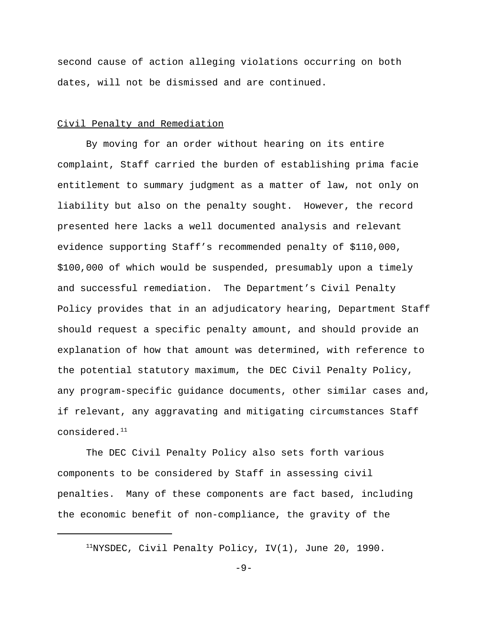second cause of action alleging violations occurring on both dates, will not be dismissed and are continued.

## Civil Penalty and Remediation

By moving for an order without hearing on its entire complaint, Staff carried the burden of establishing prima facie entitlement to summary judgment as a matter of law, not only on liability but also on the penalty sought. However, the record presented here lacks a well documented analysis and relevant evidence supporting Staff's recommended penalty of \$110,000, \$100,000 of which would be suspended, presumably upon a timely and successful remediation. The Department's Civil Penalty Policy provides that in an adjudicatory hearing, Department Staff should request a specific penalty amount, and should provide an explanation of how that amount was determined, with reference to the potential statutory maximum, the DEC Civil Penalty Policy, any program-specific guidance documents, other similar cases and, if relevant, any aggravating and mitigating circumstances Staff considered.11

The DEC Civil Penalty Policy also sets forth various components to be considered by Staff in assessing civil penalties. Many of these components are fact based, including the economic benefit of non-compliance, the gravity of the

 $11$ NYSDEC, Civil Penalty Policy, IV(1), June 20, 1990.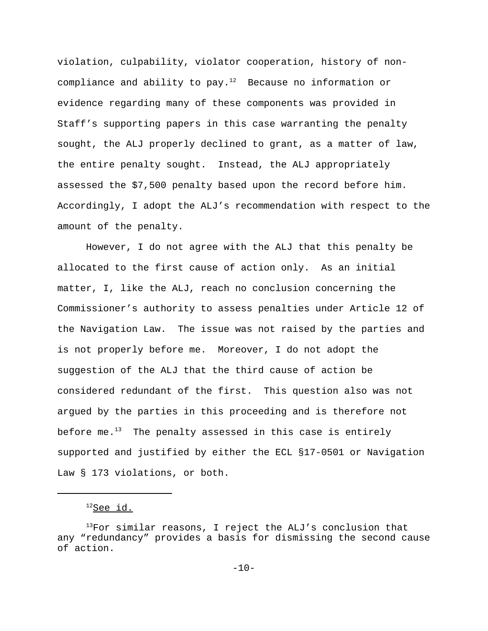violation, culpability, violator cooperation, history of noncompliance and ability to pay. $12$  Because no information or evidence regarding many of these components was provided in Staff's supporting papers in this case warranting the penalty sought, the ALJ properly declined to grant, as a matter of law, the entire penalty sought. Instead, the ALJ appropriately assessed the \$7,500 penalty based upon the record before him. Accordingly, I adopt the ALJ's recommendation with respect to the amount of the penalty.

However, I do not agree with the ALJ that this penalty be allocated to the first cause of action only. As an initial matter, I, like the ALJ, reach no conclusion concerning the Commissioner's authority to assess penalties under Article 12 of the Navigation Law. The issue was not raised by the parties and is not properly before me. Moreover, I do not adopt the suggestion of the ALJ that the third cause of action be considered redundant of the first. This question also was not argued by the parties in this proceeding and is therefore not before me. $13$  The penalty assessed in this case is entirely supported and justified by either the ECL §17-0501 or Navigation Law § 173 violations, or both.

 $12$ See id.

 $13$ For similar reasons, I reject the ALJ's conclusion that any "redundancy" provides a basis for dismissing the second cause of action.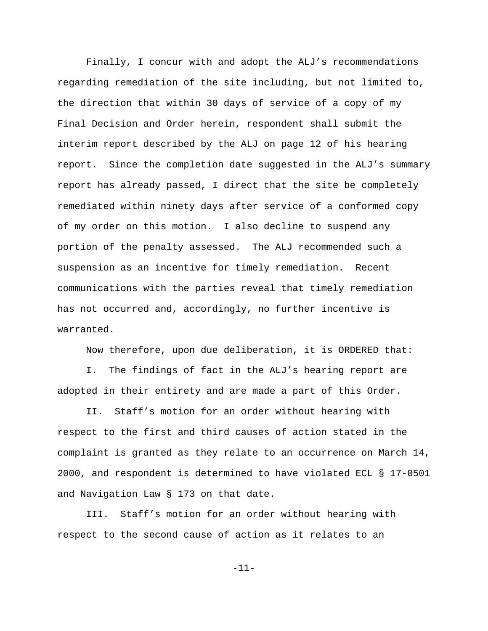Finally, I concur with and adopt the ALJ's recommendations regarding remediation of the site including, but not limited to, the direction that within 30 days of service of a copy of my Final Decision and Order herein, respondent shall submit the interim report described by the ALJ on page 12 of his hearing report. Since the completion date suggested in the ALJ's summary report has already passed, I direct that the site be completely remediated within ninety days after service of a conformed copy of my order on this motion. I also decline to suspend any portion of the penalty assessed. The ALJ recommended such a suspension as an incentive for timely remediation. Recent communications with the parties reveal that timely remediation has not occurred and, accordingly, no further incentive is warranted.

Now therefore, upon due deliberation, it is ORDERED that:

I. The findings of fact in the ALJ's hearing report are adopted in their entirety and are made a part of this Order.

II. Staff's motion for an order without hearing with respect to the first and third causes of action stated in the complaint is granted as they relate to an occurrence on March 14, 2000, and respondent is determined to have violated ECL § 17-0501 and Navigation Law § 173 on that date.

III. Staff's motion for an order without hearing with respect to the second cause of action as it relates to an

-11-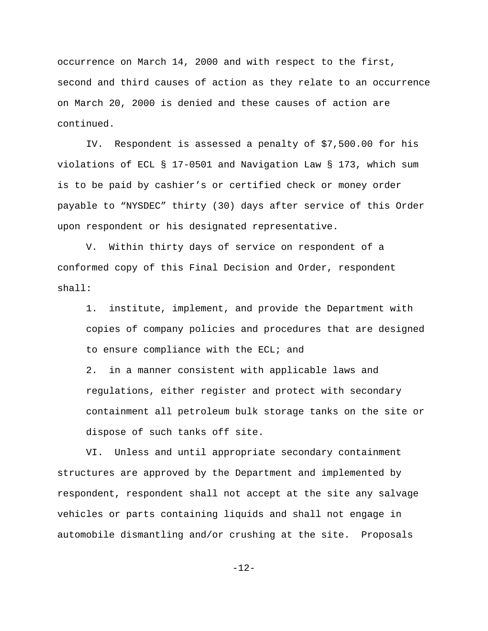occurrence on March 14, 2000 and with respect to the first, second and third causes of action as they relate to an occurrence on March 20, 2000 is denied and these causes of action are continued.

IV. Respondent is assessed a penalty of \$7,500.00 for his violations of ECL § 17-0501 and Navigation Law § 173, which sum is to be paid by cashier's or certified check or money order payable to "NYSDEC" thirty (30) days after service of this Order upon respondent or his designated representative.

V. Within thirty days of service on respondent of a conformed copy of this Final Decision and Order, respondent shall:

1. institute, implement, and provide the Department with copies of company policies and procedures that are designed to ensure compliance with the ECL; and

2. in a manner consistent with applicable laws and regulations, either register and protect with secondary containment all petroleum bulk storage tanks on the site or dispose of such tanks off site.

VI. Unless and until appropriate secondary containment structures are approved by the Department and implemented by respondent, respondent shall not accept at the site any salvage vehicles or parts containing liquids and shall not engage in automobile dismantling and/or crushing at the site. Proposals

-12-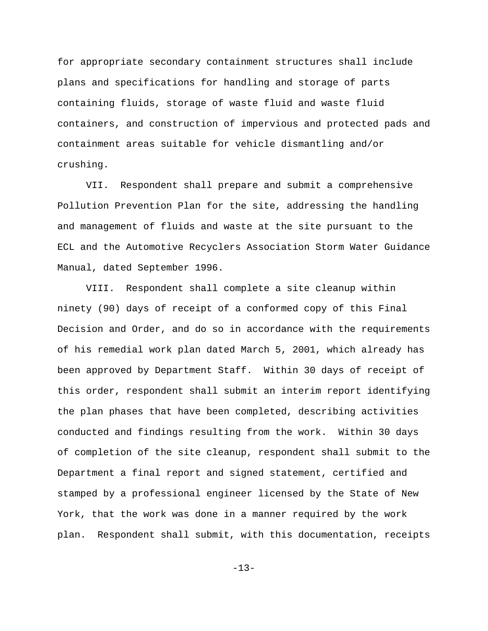for appropriate secondary containment structures shall include plans and specifications for handling and storage of parts containing fluids, storage of waste fluid and waste fluid containers, and construction of impervious and protected pads and containment areas suitable for vehicle dismantling and/or crushing.

VII. Respondent shall prepare and submit a comprehensive Pollution Prevention Plan for the site, addressing the handling and management of fluids and waste at the site pursuant to the ECL and the Automotive Recyclers Association Storm Water Guidance Manual, dated September 1996.

VIII. Respondent shall complete a site cleanup within ninety (90) days of receipt of a conformed copy of this Final Decision and Order, and do so in accordance with the requirements of his remedial work plan dated March 5, 2001, which already has been approved by Department Staff. Within 30 days of receipt of this order, respondent shall submit an interim report identifying the plan phases that have been completed, describing activities conducted and findings resulting from the work. Within 30 days of completion of the site cleanup, respondent shall submit to the Department a final report and signed statement, certified and stamped by a professional engineer licensed by the State of New York, that the work was done in a manner required by the work plan. Respondent shall submit, with this documentation, receipts

-13-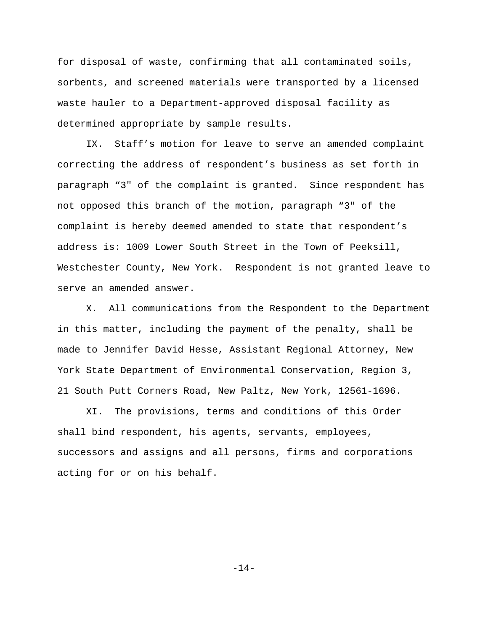for disposal of waste, confirming that all contaminated soils, sorbents, and screened materials were transported by a licensed waste hauler to a Department-approved disposal facility as determined appropriate by sample results.

IX. Staff's motion for leave to serve an amended complaint correcting the address of respondent's business as set forth in paragraph "3" of the complaint is granted. Since respondent has not opposed this branch of the motion, paragraph "3" of the complaint is hereby deemed amended to state that respondent's address is: 1009 Lower South Street in the Town of Peeksill, Westchester County, New York. Respondent is not granted leave to serve an amended answer.

X. All communications from the Respondent to the Department in this matter, including the payment of the penalty, shall be made to Jennifer David Hesse, Assistant Regional Attorney, New York State Department of Environmental Conservation, Region 3, 21 South Putt Corners Road, New Paltz, New York, 12561-1696.

XI. The provisions, terms and conditions of this Order shall bind respondent, his agents, servants, employees, successors and assigns and all persons, firms and corporations acting for or on his behalf.

-14-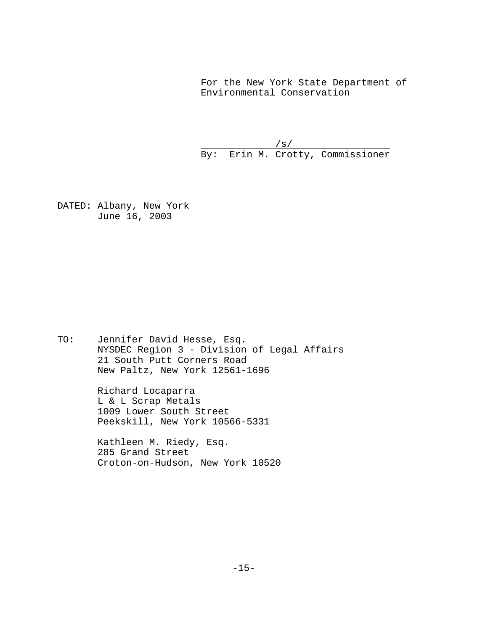For the New York State Department of Environmental Conservation

 $/s/$ By: Erin M. Crotty, Commissioner

DATED: Albany, New York June 16, 2003

TO: Jennifer David Hesse, Esq. NYSDEC Region 3 - Division of Legal Affairs 21 South Putt Corners Road New Paltz, New York 12561-1696

> Richard Locaparra L & L Scrap Metals 1009 Lower South Street Peekskill, New York 10566-5331

 Kathleen M. Riedy, Esq. 285 Grand Street Croton-on-Hudson, New York 10520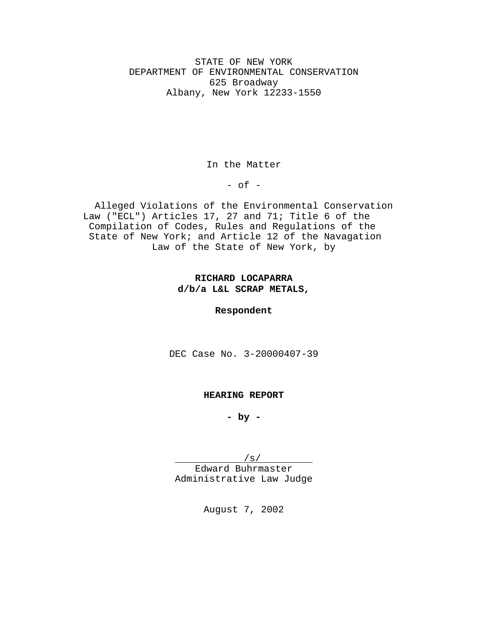STATE OF NEW YORK DEPARTMENT OF ENVIRONMENTAL CONSERVATION 625 Broadway Albany, New York 12233-1550

In the Matter

 $-$  of  $-$ 

Alleged Violations of the Environmental Conservation Law ("ECL") Articles 17, 27 and 71; Title 6 of the Compilation of Codes, Rules and Regulations of the State of New York; and Article 12 of the Navagation Law of the State of New York, by

# **RICHARD LOCAPARRA d/b/a L&L SCRAP METALS,**

**Respondent**

DEC Case No. 3-20000407-39

### **HEARING REPORT**

**- by -**

/s/

Edward Buhrmaster Administrative Law Judge

August 7, 2002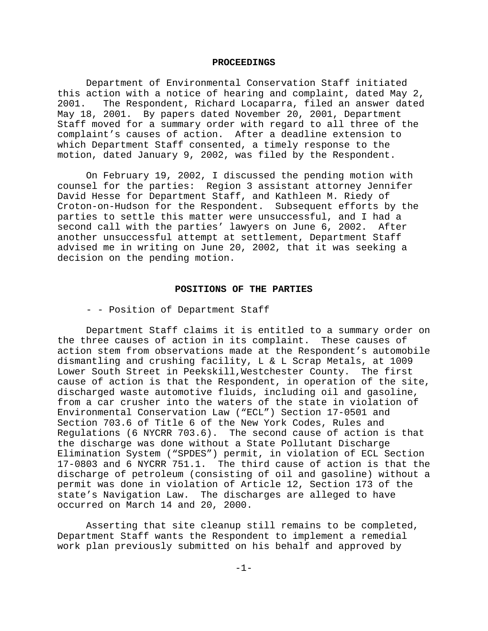#### **PROCEEDINGS**

Department of Environmental Conservation Staff initiated this action with a notice of hearing and complaint, dated May 2, 2001. The Respondent, Richard Locaparra, filed an answer dated May 18, 2001. By papers dated November 20, 2001, Department Staff moved for a summary order with regard to all three of the complaint's causes of action. After a deadline extension to which Department Staff consented, a timely response to the motion, dated January 9, 2002, was filed by the Respondent.

On February 19, 2002, I discussed the pending motion with counsel for the parties: Region 3 assistant attorney Jennifer David Hesse for Department Staff, and Kathleen M. Riedy of Croton-on-Hudson for the Respondent. Subsequent efforts by the parties to settle this matter were unsuccessful, and I had a second call with the parties' lawyers on June 6, 2002. After another unsuccessful attempt at settlement, Department Staff advised me in writing on June 20, 2002, that it was seeking a decision on the pending motion.

### **POSITIONS OF THE PARTIES**

- - Position of Department Staff

Department Staff claims it is entitled to a summary order on the three causes of action in its complaint. These causes of action stem from observations made at the Respondent's automobile dismantling and crushing facility, L & L Scrap Metals, at 1009 Lower South Street in Peekskill, Westchester County. The first cause of action is that the Respondent, in operation of the site, discharged waste automotive fluids, including oil and gasoline, from a car crusher into the waters of the state in violation of Environmental Conservation Law ("ECL") Section 17-0501 and Section 703.6 of Title 6 of the New York Codes, Rules and Regulations (6 NYCRR 703.6). The second cause of action is that the discharge was done without a State Pollutant Discharge Elimination System ("SPDES") permit, in violation of ECL Section 17-0803 and 6 NYCRR 751.1. The third cause of action is that the discharge of petroleum (consisting of oil and gasoline) without a permit was done in violation of Article 12, Section 173 of the state's Navigation Law. The discharges are alleged to have occurred on March 14 and 20, 2000.

Asserting that site cleanup still remains to be completed, Department Staff wants the Respondent to implement a remedial work plan previously submitted on his behalf and approved by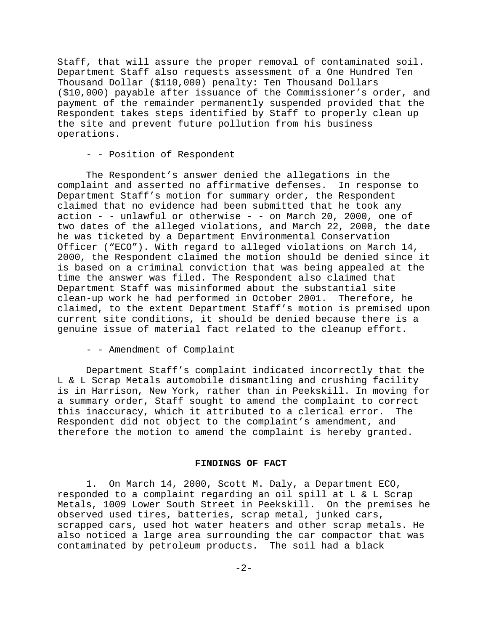Staff, that will assure the proper removal of contaminated soil. Department Staff also requests assessment of a One Hundred Ten Thousand Dollar (\$110,000) penalty: Ten Thousand Dollars (\$10,000) payable after issuance of the Commissioner's order, and payment of the remainder permanently suspended provided that the Respondent takes steps identified by Staff to properly clean up the site and prevent future pollution from his business operations.

- - Position of Respondent

The Respondent's answer denied the allegations in the complaint and asserted no affirmative defenses. In response to Department Staff's motion for summary order, the Respondent claimed that no evidence had been submitted that he took any action - - unlawful or otherwise - - on March 20, 2000, one of two dates of the alleged violations, and March 22, 2000, the date he was ticketed by a Department Environmental Conservation Officer ("ECO"). With regard to alleged violations on March 14, 2000, the Respondent claimed the motion should be denied since it is based on a criminal conviction that was being appealed at the time the answer was filed. The Respondent also claimed that Department Staff was misinformed about the substantial site clean-up work he had performed in October 2001. Therefore, he claimed, to the extent Department Staff's motion is premised upon current site conditions, it should be denied because there is a genuine issue of material fact related to the cleanup effort.

- - Amendment of Complaint

Department Staff's complaint indicated incorrectly that the L & L Scrap Metals automobile dismantling and crushing facility is in Harrison, New York, rather than in Peekskill. In moving for a summary order, Staff sought to amend the complaint to correct this inaccuracy, which it attributed to a clerical error. The Respondent did not object to the complaint's amendment, and therefore the motion to amend the complaint is hereby granted.

## **FINDINGS OF FACT**

1. On March 14, 2000, Scott M. Daly, a Department ECO, responded to a complaint regarding an oil spill at L & L Scrap Metals, 1009 Lower South Street in Peekskill. On the premises he observed used tires, batteries, scrap metal, junked cars, scrapped cars, used hot water heaters and other scrap metals. He also noticed a large area surrounding the car compactor that was contaminated by petroleum products. The soil had a black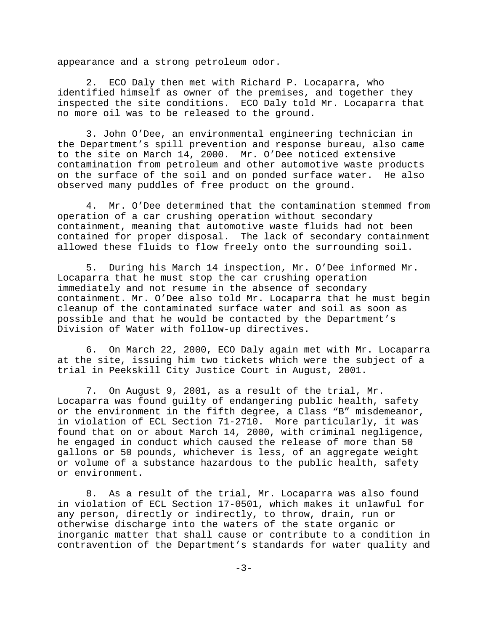appearance and a strong petroleum odor.

2. ECO Daly then met with Richard P. Locaparra, who identified himself as owner of the premises, and together they inspected the site conditions. ECO Daly told Mr. Locaparra that no more oil was to be released to the ground.

3. John O'Dee, an environmental engineering technician in the Department's spill prevention and response bureau, also came to the site on March 14, 2000. Mr. O'Dee noticed extensive contamination from petroleum and other automotive waste products on the surface of the soil and on ponded surface water. He also observed many puddles of free product on the ground.

4. Mr. O'Dee determined that the contamination stemmed from operation of a car crushing operation without secondary containment, meaning that automotive waste fluids had not been contained for proper disposal. The lack of secondary containment allowed these fluids to flow freely onto the surrounding soil.

5. During his March 14 inspection, Mr. O'Dee informed Mr. Locaparra that he must stop the car crushing operation immediately and not resume in the absence of secondary containment. Mr. O'Dee also told Mr. Locaparra that he must begin cleanup of the contaminated surface water and soil as soon as possible and that he would be contacted by the Department's Division of Water with follow-up directives.

6. On March 22, 2000, ECO Daly again met with Mr. Locaparra at the site, issuing him two tickets which were the subject of a trial in Peekskill City Justice Court in August, 2001.

7. On August 9, 2001, as a result of the trial, Mr. Locaparra was found guilty of endangering public health, safety or the environment in the fifth degree, a Class "B" misdemeanor, in violation of ECL Section 71-2710. More particularly, it was found that on or about March 14, 2000, with criminal negligence, he engaged in conduct which caused the release of more than 50 gallons or 50 pounds, whichever is less, of an aggregate weight or volume of a substance hazardous to the public health, safety or environment.

8. As a result of the trial, Mr. Locaparra was also found in violation of ECL Section 17-0501, which makes it unlawful for any person, directly or indirectly, to throw, drain, run or otherwise discharge into the waters of the state organic or inorganic matter that shall cause or contribute to a condition in contravention of the Department's standards for water quality and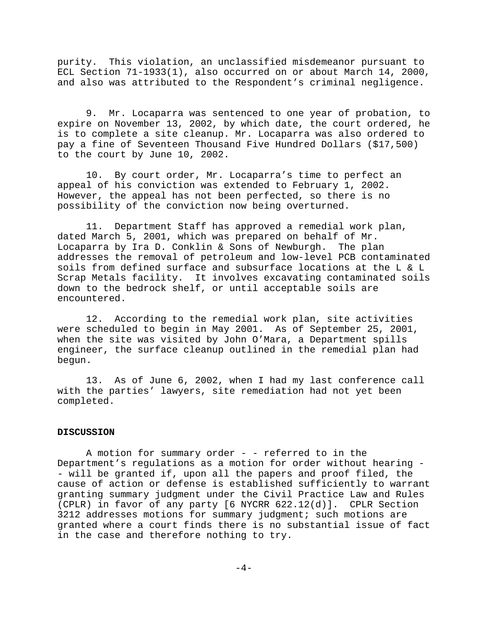purity. This violation, an unclassified misdemeanor pursuant to ECL Section 71-1933(1), also occurred on or about March 14, 2000, and also was attributed to the Respondent's criminal negligence.

9. Mr. Locaparra was sentenced to one year of probation, to expire on November 13, 2002, by which date, the court ordered, he is to complete a site cleanup. Mr. Locaparra was also ordered to pay a fine of Seventeen Thousand Five Hundred Dollars (\$17,500) to the court by June 10, 2002.

10. By court order, Mr. Locaparra's time to perfect an appeal of his conviction was extended to February 1, 2002. However, the appeal has not been perfected, so there is no possibility of the conviction now being overturned.

11. Department Staff has approved a remedial work plan, dated March 5, 2001, which was prepared on behalf of Mr. Locaparra by Ira D. Conklin & Sons of Newburgh. The plan addresses the removal of petroleum and low-level PCB contaminated soils from defined surface and subsurface locations at the L & L Scrap Metals facility. It involves excavating contaminated soils down to the bedrock shelf, or until acceptable soils are encountered.

12. According to the remedial work plan, site activities were scheduled to begin in May 2001. As of September 25, 2001, when the site was visited by John O'Mara, a Department spills engineer, the surface cleanup outlined in the remedial plan had begun.

13. As of June 6, 2002, when I had my last conference call with the parties' lawyers, site remediation had not yet been completed.

#### **DISCUSSION**

A motion for summary order - - referred to in the Department's regulations as a motion for order without hearing - - will be granted if, upon all the papers and proof filed, the cause of action or defense is established sufficiently to warrant granting summary judgment under the Civil Practice Law and Rules (CPLR) in favor of any party [6 NYCRR 622.12(d)]. CPLR Section 3212 addresses motions for summary judgment; such motions are granted where a court finds there is no substantial issue of fact in the case and therefore nothing to try.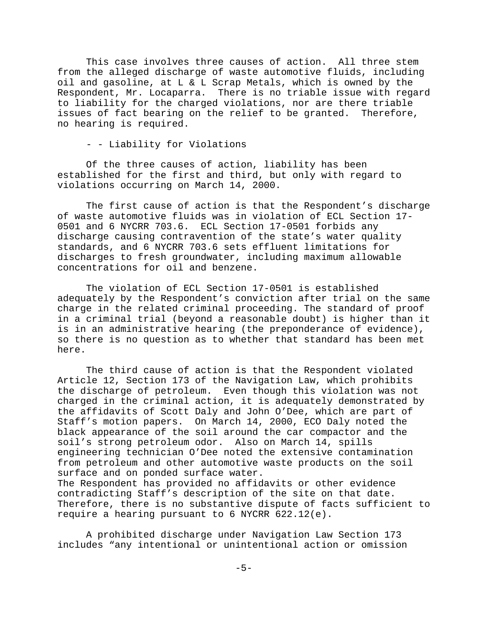This case involves three causes of action. All three stem from the alleged discharge of waste automotive fluids, including oil and gasoline, at L & L Scrap Metals, which is owned by the Respondent, Mr. Locaparra. There is no triable issue with regard to liability for the charged violations, nor are there triable issues of fact bearing on the relief to be granted. Therefore, no hearing is required.

- - Liability for Violations

Of the three causes of action, liability has been established for the first and third, but only with regard to violations occurring on March 14, 2000.

The first cause of action is that the Respondent's discharge of waste automotive fluids was in violation of ECL Section 17- 0501 and 6 NYCRR 703.6. ECL Section 17-0501 forbids any discharge causing contravention of the state's water quality standards, and 6 NYCRR 703.6 sets effluent limitations for discharges to fresh groundwater, including maximum allowable concentrations for oil and benzene.

The violation of ECL Section 17-0501 is established adequately by the Respondent's conviction after trial on the same charge in the related criminal proceeding. The standard of proof in a criminal trial (beyond a reasonable doubt) is higher than it is in an administrative hearing (the preponderance of evidence), so there is no question as to whether that standard has been met here.

The third cause of action is that the Respondent violated Article 12, Section 173 of the Navigation Law, which prohibits the discharge of petroleum. Even though this violation was not charged in the criminal action, it is adequately demonstrated by the affidavits of Scott Daly and John O'Dee, which are part of Staff's motion papers. On March 14, 2000, ECO Daly noted the black appearance of the soil around the car compactor and the soil's strong petroleum odor. Also on March 14, spills engineering technician O'Dee noted the extensive contamination from petroleum and other automotive waste products on the soil surface and on ponded surface water. The Respondent has provided no affidavits or other evidence contradicting Staff's description of the site on that date. Therefore, there is no substantive dispute of facts sufficient to require a hearing pursuant to 6 NYCRR 622.12(e).

A prohibited discharge under Navigation Law Section 173 includes "any intentional or unintentional action or omission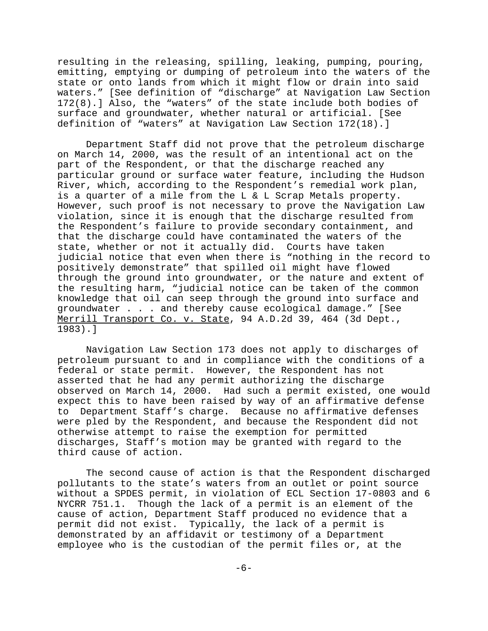resulting in the releasing, spilling, leaking, pumping, pouring, emitting, emptying or dumping of petroleum into the waters of the state or onto lands from which it might flow or drain into said waters." [See definition of "discharge" at Navigation Law Section 172(8).] Also, the "waters" of the state include both bodies of surface and groundwater, whether natural or artificial. [See definition of "waters" at Navigation Law Section 172(18).]

Department Staff did not prove that the petroleum discharge on March 14, 2000, was the result of an intentional act on the part of the Respondent, or that the discharge reached any particular ground or surface water feature, including the Hudson River, which, according to the Respondent's remedial work plan, is a quarter of a mile from the L & L Scrap Metals property. However, such proof is not necessary to prove the Navigation Law violation, since it is enough that the discharge resulted from the Respondent's failure to provide secondary containment, and that the discharge could have contaminated the waters of the state, whether or not it actually did. Courts have taken judicial notice that even when there is "nothing in the record to positively demonstrate" that spilled oil might have flowed through the ground into groundwater, or the nature and extent of the resulting harm, "judicial notice can be taken of the common knowledge that oil can seep through the ground into surface and groundwater . . . and thereby cause ecological damage." [See Merrill Transport Co. v. State, 94 A.D.2d 39, 464 (3d Dept., 1983).]

Navigation Law Section 173 does not apply to discharges of petroleum pursuant to and in compliance with the conditions of a federal or state permit. However, the Respondent has not asserted that he had any permit authorizing the discharge observed on March 14, 2000. Had such a permit existed, one would expect this to have been raised by way of an affirmative defense to Department Staff's charge. Because no affirmative defenses were pled by the Respondent, and because the Respondent did not otherwise attempt to raise the exemption for permitted discharges, Staff's motion may be granted with regard to the third cause of action.

The second cause of action is that the Respondent discharged pollutants to the state's waters from an outlet or point source without a SPDES permit, in violation of ECL Section 17-0803 and 6 NYCRR 751.1. Though the lack of a permit is an element of the cause of action, Department Staff produced no evidence that a permit did not exist. Typically, the lack of a permit is demonstrated by an affidavit or testimony of a Department employee who is the custodian of the permit files or, at the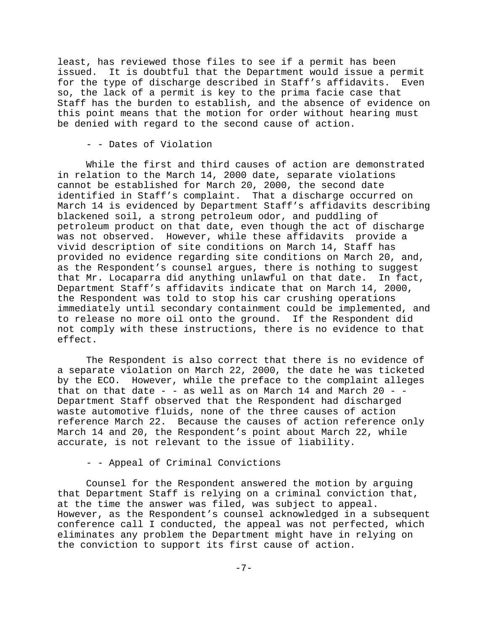least, has reviewed those files to see if a permit has been issued. It is doubtful that the Department would issue a permit for the type of discharge described in Staff's affidavits. Even so, the lack of a permit is key to the prima facie case that Staff has the burden to establish, and the absence of evidence on this point means that the motion for order without hearing must be denied with regard to the second cause of action.

- - Dates of Violation

While the first and third causes of action are demonstrated in relation to the March 14, 2000 date, separate violations cannot be established for March 20, 2000, the second date identified in Staff's complaint. That a discharge occurred on March 14 is evidenced by Department Staff's affidavits describing blackened soil, a strong petroleum odor, and puddling of petroleum product on that date, even though the act of discharge was not observed. However, while these affidavits provide a vivid description of site conditions on March 14, Staff has provided no evidence regarding site conditions on March 20, and, as the Respondent's counsel argues, there is nothing to suggest that Mr. Locaparra did anything unlawful on that date. In fact, Department Staff's affidavits indicate that on March 14, 2000, the Respondent was told to stop his car crushing operations immediately until secondary containment could be implemented, and to release no more oil onto the ground. If the Respondent did not comply with these instructions, there is no evidence to that effect.

The Respondent is also correct that there is no evidence of a separate violation on March 22, 2000, the date he was ticketed by the ECO. However, while the preface to the complaint alleges that on that date  $-$  - as well as on March 14 and March 20 -  $-$ Department Staff observed that the Respondent had discharged waste automotive fluids, none of the three causes of action reference March 22. Because the causes of action reference only March 14 and 20, the Respondent's point about March 22, while accurate, is not relevant to the issue of liability.

- - Appeal of Criminal Convictions

Counsel for the Respondent answered the motion by arguing that Department Staff is relying on a criminal conviction that, at the time the answer was filed, was subject to appeal. However, as the Respondent's counsel acknowledged in a subsequent conference call I conducted, the appeal was not perfected, which eliminates any problem the Department might have in relying on the conviction to support its first cause of action.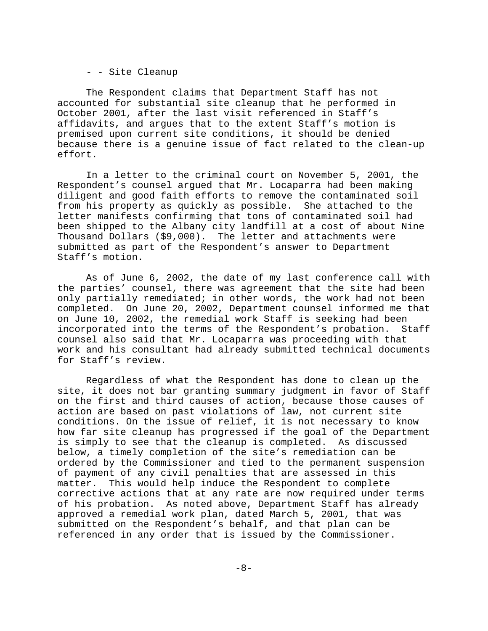- - Site Cleanup

The Respondent claims that Department Staff has not accounted for substantial site cleanup that he performed in October 2001, after the last visit referenced in Staff's affidavits, and argues that to the extent Staff's motion is premised upon current site conditions, it should be denied because there is a genuine issue of fact related to the clean-up effort.

In a letter to the criminal court on November 5, 2001, the Respondent's counsel argued that Mr. Locaparra had been making diligent and good faith efforts to remove the contaminated soil from his property as quickly as possible. She attached to the letter manifests confirming that tons of contaminated soil had been shipped to the Albany city landfill at a cost of about Nine Thousand Dollars (\$9,000). The letter and attachments were submitted as part of the Respondent's answer to Department Staff's motion.

As of June 6, 2002, the date of my last conference call with the parties' counsel, there was agreement that the site had been only partially remediated; in other words, the work had not been completed. On June 20, 2002, Department counsel informed me that on June 10, 2002, the remedial work Staff is seeking had been incorporated into the terms of the Respondent's probation. Staff counsel also said that Mr. Locaparra was proceeding with that work and his consultant had already submitted technical documents for Staff's review.

Regardless of what the Respondent has done to clean up the site, it does not bar granting summary judgment in favor of Staff on the first and third causes of action, because those causes of action are based on past violations of law, not current site conditions. On the issue of relief, it is not necessary to know how far site cleanup has progressed if the goal of the Department is simply to see that the cleanup is completed. As discussed below, a timely completion of the site's remediation can be ordered by the Commissioner and tied to the permanent suspension of payment of any civil penalties that are assessed in this matter. This would help induce the Respondent to complete corrective actions that at any rate are now required under terms of his probation. As noted above, Department Staff has already approved a remedial work plan, dated March 5, 2001, that was submitted on the Respondent's behalf, and that plan can be referenced in any order that is issued by the Commissioner.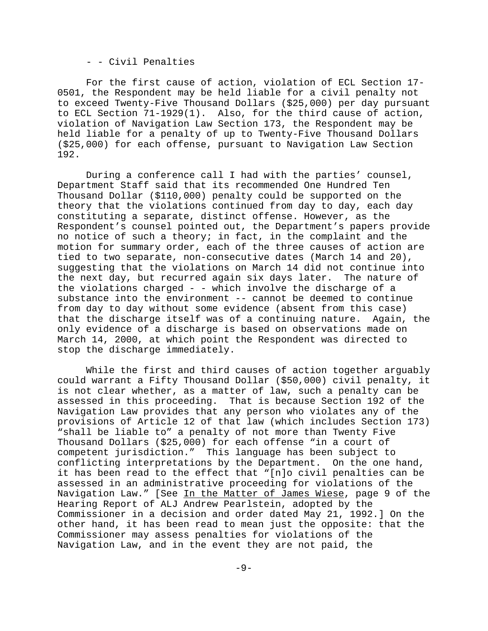#### - - Civil Penalties

For the first cause of action, violation of ECL Section 17- 0501, the Respondent may be held liable for a civil penalty not to exceed Twenty-Five Thousand Dollars (\$25,000) per day pursuant to ECL Section 71-1929(1). Also, for the third cause of action, violation of Navigation Law Section 173, the Respondent may be held liable for a penalty of up to Twenty-Five Thousand Dollars (\$25,000) for each offense, pursuant to Navigation Law Section 192.

During a conference call I had with the parties' counsel, Department Staff said that its recommended One Hundred Ten Thousand Dollar (\$110,000) penalty could be supported on the theory that the violations continued from day to day, each day constituting a separate, distinct offense. However, as the Respondent's counsel pointed out, the Department's papers provide no notice of such a theory; in fact, in the complaint and the motion for summary order, each of the three causes of action are tied to two separate, non-consecutive dates (March 14 and 20), suggesting that the violations on March 14 did not continue into the next day, but recurred again six days later. The nature of the violations charged - - which involve the discharge of a substance into the environment -- cannot be deemed to continue from day to day without some evidence (absent from this case) that the discharge itself was of a continuing nature. Again, the only evidence of a discharge is based on observations made on March 14, 2000, at which point the Respondent was directed to stop the discharge immediately.

While the first and third causes of action together arguably could warrant a Fifty Thousand Dollar (\$50,000) civil penalty, it is not clear whether, as a matter of law, such a penalty can be assessed in this proceeding. That is because Section 192 of the Navigation Law provides that any person who violates any of the provisions of Article 12 of that law (which includes Section 173) "shall be liable to" a penalty of not more than Twenty Five Thousand Dollars (\$25,000) for each offense "in a court of competent jurisdiction." This language has been subject to conflicting interpretations by the Department. On the one hand, it has been read to the effect that "[n]o civil penalties can be assessed in an administrative proceeding for violations of the Navigation Law." [See In the Matter of James Wiese, page 9 of the Hearing Report of ALJ Andrew Pearlstein, adopted by the Commissioner in a decision and order dated May 21, 1992.] On the other hand, it has been read to mean just the opposite: that the Commissioner may assess penalties for violations of the Navigation Law, and in the event they are not paid, the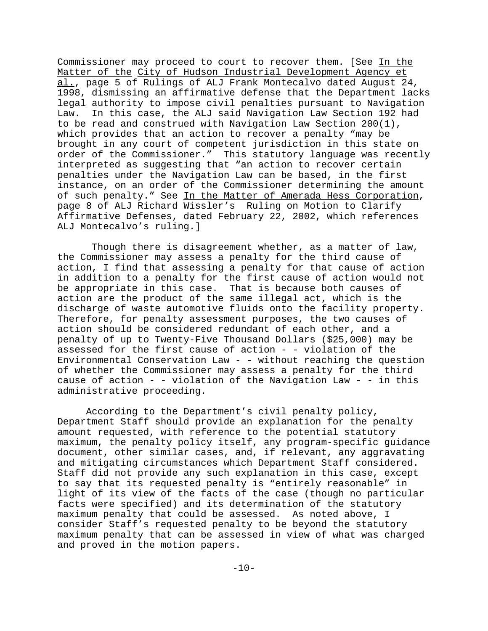Commissioner may proceed to court to recover them. [See In the Matter of the City of Hudson Industrial Development Agency et al., page 5 of Rulings of ALJ Frank Montecalvo dated August 24, 1998, dismissing an affirmative defense that the Department lacks legal authority to impose civil penalties pursuant to Navigation Law. In this case, the ALJ said Navigation Law Section 192 had to be read and construed with Navigation Law Section 200(1), which provides that an action to recover a penalty "may be brought in any court of competent jurisdiction in this state on order of the Commissioner." This statutory language was recently interpreted as suggesting that "an action to recover certain penalties under the Navigation Law can be based, in the first instance, on an order of the Commissioner determining the amount of such penalty." See In the Matter of Amerada Hess Corporation, page 8 of ALJ Richard Wissler's Ruling on Motion to Clarify Affirmative Defenses, dated February 22, 2002, which references ALJ Montecalvo's ruling.]

 Though there is disagreement whether, as a matter of law, the Commissioner may assess a penalty for the third cause of action, I find that assessing a penalty for that cause of action in addition to a penalty for the first cause of action would not be appropriate in this case. That is because both causes of action are the product of the same illegal act, which is the discharge of waste automotive fluids onto the facility property. Therefore, for penalty assessment purposes, the two causes of action should be considered redundant of each other, and a penalty of up to Twenty-Five Thousand Dollars (\$25,000) may be assessed for the first cause of action - - violation of the Environmental Conservation Law - - without reaching the question of whether the Commissioner may assess a penalty for the third cause of action - - violation of the Navigation Law - - in this administrative proceeding.

According to the Department's civil penalty policy, Department Staff should provide an explanation for the penalty amount requested, with reference to the potential statutory maximum, the penalty policy itself, any program-specific guidance document, other similar cases, and, if relevant, any aggravating and mitigating circumstances which Department Staff considered. Staff did not provide any such explanation in this case, except to say that its requested penalty is "entirely reasonable" in light of its view of the facts of the case (though no particular facts were specified) and its determination of the statutory maximum penalty that could be assessed. As noted above, I consider Staff's requested penalty to be beyond the statutory maximum penalty that can be assessed in view of what was charged and proved in the motion papers.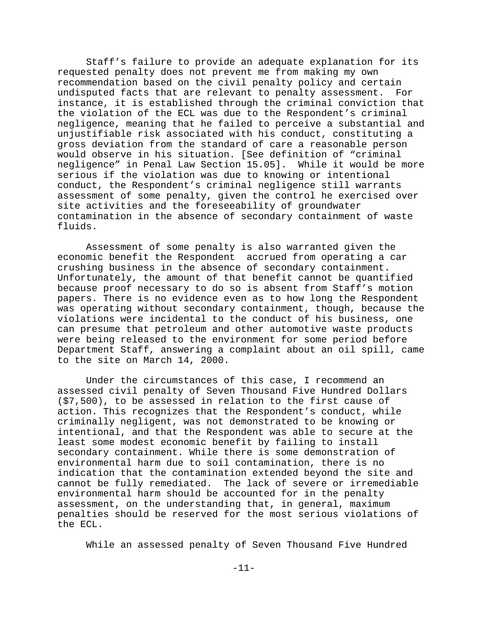Staff's failure to provide an adequate explanation for its requested penalty does not prevent me from making my own recommendation based on the civil penalty policy and certain undisputed facts that are relevant to penalty assessment. For instance, it is established through the criminal conviction that the violation of the ECL was due to the Respondent's criminal negligence, meaning that he failed to perceive a substantial and unjustifiable risk associated with his conduct, constituting a gross deviation from the standard of care a reasonable person would observe in his situation. [See definition of "criminal negligence" in Penal Law Section 15.05]. While it would be more serious if the violation was due to knowing or intentional conduct, the Respondent's criminal negligence still warrants assessment of some penalty, given the control he exercised over site activities and the foreseeability of groundwater contamination in the absence of secondary containment of waste fluids.

Assessment of some penalty is also warranted given the economic benefit the Respondent accrued from operating a car crushing business in the absence of secondary containment. Unfortunately, the amount of that benefit cannot be quantified because proof necessary to do so is absent from Staff's motion papers. There is no evidence even as to how long the Respondent was operating without secondary containment, though, because the violations were incidental to the conduct of his business, one can presume that petroleum and other automotive waste products were being released to the environment for some period before Department Staff, answering a complaint about an oil spill, came to the site on March 14, 2000.

Under the circumstances of this case, I recommend an assessed civil penalty of Seven Thousand Five Hundred Dollars (\$7,500), to be assessed in relation to the first cause of action. This recognizes that the Respondent's conduct, while criminally negligent, was not demonstrated to be knowing or intentional, and that the Respondent was able to secure at the least some modest economic benefit by failing to install secondary containment. While there is some demonstration of environmental harm due to soil contamination, there is no indication that the contamination extended beyond the site and cannot be fully remediated. The lack of severe or irremediable environmental harm should be accounted for in the penalty assessment, on the understanding that, in general, maximum penalties should be reserved for the most serious violations of the ECL.

While an assessed penalty of Seven Thousand Five Hundred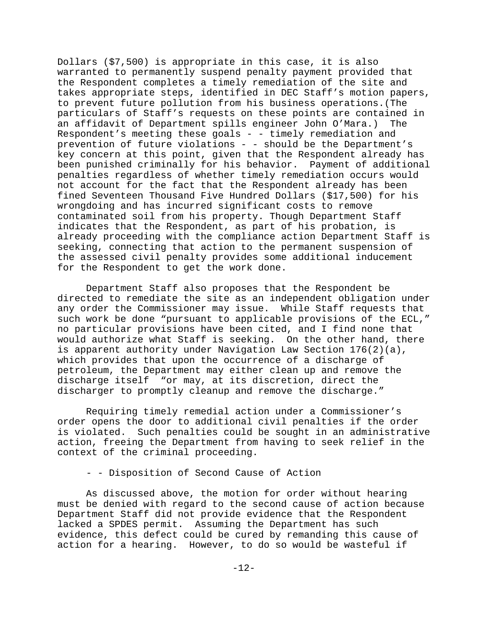Dollars (\$7,500) is appropriate in this case, it is also warranted to permanently suspend penalty payment provided that the Respondent completes a timely remediation of the site and takes appropriate steps, identified in DEC Staff's motion papers, to prevent future pollution from his business operations.(The particulars of Staff's requests on these points are contained in an affidavit of Department spills engineer John O'Mara.) The Respondent's meeting these goals - - timely remediation and prevention of future violations - - should be the Department's key concern at this point, given that the Respondent already has been punished criminally for his behavior. Payment of additional penalties regardless of whether timely remediation occurs would not account for the fact that the Respondent already has been fined Seventeen Thousand Five Hundred Dollars (\$17,500) for his wrongdoing and has incurred significant costs to remove contaminated soil from his property. Though Department Staff indicates that the Respondent, as part of his probation, is already proceeding with the compliance action Department Staff is seeking, connecting that action to the permanent suspension of the assessed civil penalty provides some additional inducement for the Respondent to get the work done.

Department Staff also proposes that the Respondent be directed to remediate the site as an independent obligation under any order the Commissioner may issue. While Staff requests that such work be done "pursuant to applicable provisions of the ECL," no particular provisions have been cited, and I find none that would authorize what Staff is seeking. On the other hand, there is apparent authority under Navigation Law Section 176(2)(a), which provides that upon the occurrence of a discharge of petroleum, the Department may either clean up and remove the discharge itself "or may, at its discretion, direct the discharger to promptly cleanup and remove the discharge."

Requiring timely remedial action under a Commissioner's order opens the door to additional civil penalties if the order is violated. Such penalties could be sought in an administrative action, freeing the Department from having to seek relief in the context of the criminal proceeding.

## - - Disposition of Second Cause of Action

As discussed above, the motion for order without hearing must be denied with regard to the second cause of action because Department Staff did not provide evidence that the Respondent lacked a SPDES permit. Assuming the Department has such evidence, this defect could be cured by remanding this cause of action for a hearing. However, to do so would be wasteful if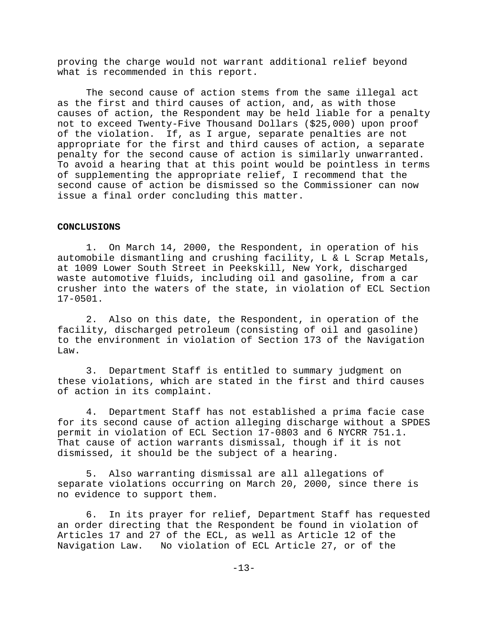proving the charge would not warrant additional relief beyond what is recommended in this report.

The second cause of action stems from the same illegal act as the first and third causes of action, and, as with those causes of action, the Respondent may be held liable for a penalty not to exceed Twenty-Five Thousand Dollars (\$25,000) upon proof of the violation. If, as I argue, separate penalties are not appropriate for the first and third causes of action, a separate penalty for the second cause of action is similarly unwarranted. To avoid a hearing that at this point would be pointless in terms of supplementing the appropriate relief, I recommend that the second cause of action be dismissed so the Commissioner can now issue a final order concluding this matter.

#### **CONCLUSIONS**

1. On March 14, 2000, the Respondent, in operation of his automobile dismantling and crushing facility, L & L Scrap Metals, at 1009 Lower South Street in Peekskill, New York, discharged waste automotive fluids, including oil and gasoline, from a car crusher into the waters of the state, in violation of ECL Section 17-0501.

2. Also on this date, the Respondent, in operation of the facility, discharged petroleum (consisting of oil and gasoline) to the environment in violation of Section 173 of the Navigation Law.

3. Department Staff is entitled to summary judgment on these violations, which are stated in the first and third causes of action in its complaint.

4. Department Staff has not established a prima facie case for its second cause of action alleging discharge without a SPDES permit in violation of ECL Section 17-0803 and 6 NYCRR 751.1. That cause of action warrants dismissal, though if it is not dismissed, it should be the subject of a hearing.

5. Also warranting dismissal are all allegations of separate violations occurring on March 20, 2000, since there is no evidence to support them.

6. In its prayer for relief, Department Staff has requested an order directing that the Respondent be found in violation of Articles 17 and 27 of the ECL, as well as Article 12 of the Navigation Law. No violation of ECL Article 27, or of the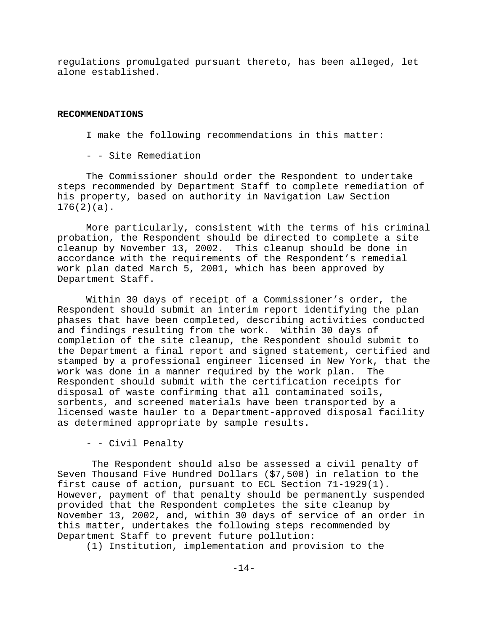regulations promulgated pursuant thereto, has been alleged, let alone established.

#### **RECOMMENDATIONS**

I make the following recommendations in this matter:

- - Site Remediation

The Commissioner should order the Respondent to undertake steps recommended by Department Staff to complete remediation of his property, based on authority in Navigation Law Section 176(2)(a).

More particularly, consistent with the terms of his criminal probation, the Respondent should be directed to complete a site cleanup by November 13, 2002. This cleanup should be done in accordance with the requirements of the Respondent's remedial work plan dated March 5, 2001, which has been approved by Department Staff.

Within 30 days of receipt of a Commissioner's order, the Respondent should submit an interim report identifying the plan phases that have been completed, describing activities conducted and findings resulting from the work. Within 30 days of completion of the site cleanup, the Respondent should submit to the Department a final report and signed statement, certified and stamped by a professional engineer licensed in New York, that the work was done in a manner required by the work plan. The Respondent should submit with the certification receipts for disposal of waste confirming that all contaminated soils, sorbents, and screened materials have been transported by a licensed waste hauler to a Department-approved disposal facility as determined appropriate by sample results.

- - Civil Penalty

 The Respondent should also be assessed a civil penalty of Seven Thousand Five Hundred Dollars (\$7,500) in relation to the first cause of action, pursuant to ECL Section 71-1929(1). However, payment of that penalty should be permanently suspended provided that the Respondent completes the site cleanup by November 13, 2002, and, within 30 days of service of an order in this matter, undertakes the following steps recommended by Department Staff to prevent future pollution:

(1) Institution, implementation and provision to the